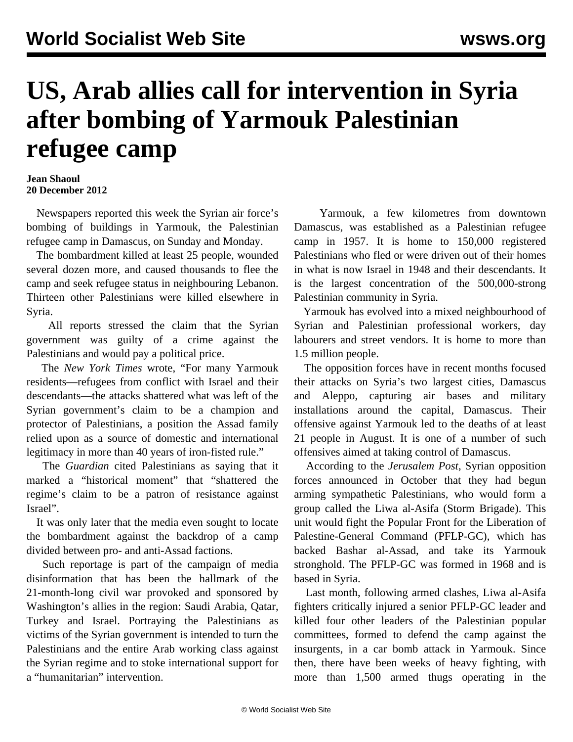## **US, Arab allies call for intervention in Syria after bombing of Yarmouk Palestinian refugee camp**

## **Jean Shaoul 20 December 2012**

 Newspapers reported this week the Syrian air force's bombing of buildings in Yarmouk, the Palestinian refugee camp in Damascus, on Sunday and Monday.

 The bombardment killed at least 25 people, wounded several dozen more, and caused thousands to flee the camp and seek refugee status in neighbouring Lebanon. Thirteen other Palestinians were killed elsewhere in Syria.

 All reports stressed the claim that the Syrian government was guilty of a crime against the Palestinians and would pay a political price.

 The *New York Times* wrote, "For many Yarmouk residents—refugees from conflict with Israel and their descendants—the attacks shattered what was left of the Syrian government's claim to be a champion and protector of Palestinians, a position the Assad family relied upon as a source of domestic and international legitimacy in more than 40 years of iron-fisted rule."

 The *Guardian* cited Palestinians as saying that it marked a "historical moment" that "shattered the regime's claim to be a patron of resistance against Israel".

 It was only later that the media even sought to locate the bombardment against the backdrop of a camp divided between pro- and anti-Assad factions.

 Such reportage is part of the campaign of media disinformation that has been the hallmark of the 21-month-long civil war provoked and sponsored by Washington's allies in the region: Saudi Arabia, Qatar, Turkey and Israel. Portraying the Palestinians as victims of the Syrian government is intended to turn the Palestinians and the entire Arab working class against the Syrian regime and to stoke international support for a "humanitarian" intervention.

 Yarmouk, a few kilometres from downtown Damascus, was established as a Palestinian refugee camp in 1957. It is home to 150,000 registered Palestinians who fled or were driven out of their homes in what is now Israel in 1948 and their descendants. It is the largest concentration of the 500,000-strong Palestinian community in Syria.

 Yarmouk has evolved into a mixed neighbourhood of Syrian and Palestinian professional workers, day labourers and street vendors. It is home to more than 1.5 million people.

 The opposition forces have in recent months focused their attacks on Syria's two largest cities, Damascus and Aleppo, capturing air bases and military installations around the capital, Damascus. Their offensive against Yarmouk led to the deaths of at least 21 people in August. It is one of a number of such offensives aimed at taking control of Damascus.

 According to the *Jerusalem Post*, Syrian opposition forces announced in October that they had begun arming sympathetic Palestinians, who would form a group called the Liwa al-Asifa (Storm Brigade). This unit would fight the Popular Front for the Liberation of Palestine-General Command (PFLP-GC), which has backed Bashar al-Assad, and take its Yarmouk stronghold. The PFLP-GC was formed in 1968 and is based in Syria.

 Last month, following armed clashes, Liwa al-Asifa fighters critically injured a senior PFLP-GC leader and killed four other leaders of the Palestinian popular committees, formed to defend the camp against the insurgents, in a car bomb attack in Yarmouk. Since then, there have been weeks of heavy fighting, with more than 1,500 armed thugs operating in the